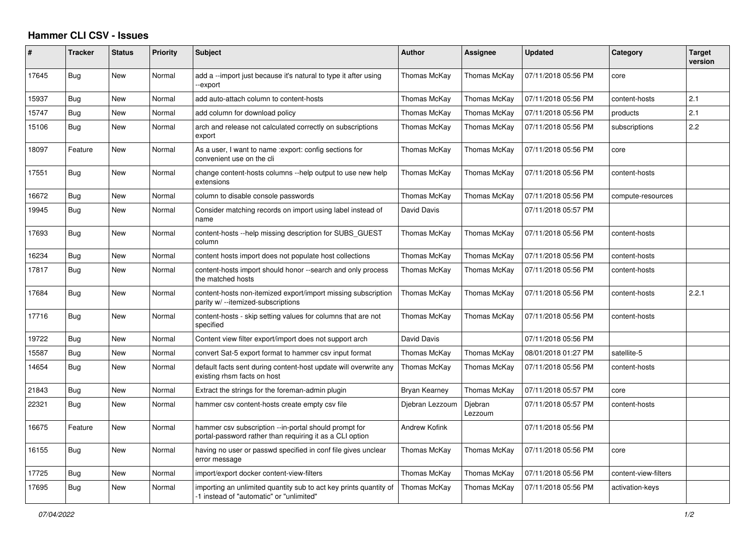## **Hammer CLI CSV - Issues**

| $\#$  | <b>Tracker</b> | <b>Status</b> | Priority | <b>Subject</b>                                                                                                    | <b>Author</b>        | Assignee           | <b>Updated</b>      | Category             | <b>Target</b><br>version |
|-------|----------------|---------------|----------|-------------------------------------------------------------------------------------------------------------------|----------------------|--------------------|---------------------|----------------------|--------------------------|
| 17645 | Bug            | New           | Normal   | add a --import just because it's natural to type it after using<br>-export                                        | Thomas McKay         | Thomas McKay       | 07/11/2018 05:56 PM | core                 |                          |
| 15937 | <b>Bug</b>     | <b>New</b>    | Normal   | add auto-attach column to content-hosts                                                                           | Thomas McKay         | Thomas McKay       | 07/11/2018 05:56 PM | content-hosts        | 2.1                      |
| 15747 | Bug            | New           | Normal   | add column for download policy                                                                                    | Thomas McKay         | Thomas McKay       | 07/11/2018 05:56 PM | products             | 2.1                      |
| 15106 | Bug            | <b>New</b>    | Normal   | arch and release not calculated correctly on subscriptions<br>export                                              | Thomas McKay         | Thomas McKay       | 07/11/2018 05:56 PM | subscriptions        | 2.2                      |
| 18097 | Feature        | New           | Normal   | As a user, I want to name : export: config sections for<br>convenient use on the cli                              | Thomas McKay         | Thomas McKay       | 07/11/2018 05:56 PM | core                 |                          |
| 17551 | <b>Bug</b>     | <b>New</b>    | Normal   | change content-hosts columns --help output to use new help<br>extensions                                          | Thomas McKay         | Thomas McKay       | 07/11/2018 05:56 PM | content-hosts        |                          |
| 16672 | Bug            | New           | Normal   | column to disable console passwords                                                                               | Thomas McKay         | Thomas McKay       | 07/11/2018 05:56 PM | compute-resources    |                          |
| 19945 | Bug            | New           | Normal   | Consider matching records on import using label instead of<br>name                                                | David Davis          |                    | 07/11/2018 05:57 PM |                      |                          |
| 17693 | Bug            | New           | Normal   | content-hosts --help missing description for SUBS GUEST<br>column                                                 | Thomas McKay         | Thomas McKay       | 07/11/2018 05:56 PM | content-hosts        |                          |
| 16234 | Bug            | New           | Normal   | content hosts import does not populate host collections                                                           | Thomas McKay         | Thomas McKay       | 07/11/2018 05:56 PM | content-hosts        |                          |
| 17817 | Bug            | New           | Normal   | content-hosts import should honor --search and only process<br>the matched hosts                                  | Thomas McKay         | Thomas McKay       | 07/11/2018 05:56 PM | content-hosts        |                          |
| 17684 | Bug            | <b>New</b>    | Normal   | content-hosts non-itemized export/import missing subscription<br>parity w/ --itemized-subscriptions               | Thomas McKay         | Thomas McKay       | 07/11/2018 05:56 PM | content-hosts        | 2.2.1                    |
| 17716 | Bug            | <b>New</b>    | Normal   | content-hosts - skip setting values for columns that are not<br>specified                                         | Thomas McKay         | Thomas McKay       | 07/11/2018 05:56 PM | content-hosts        |                          |
| 19722 | Bug            | New           | Normal   | Content view filter export/import does not support arch                                                           | David Davis          |                    | 07/11/2018 05:56 PM |                      |                          |
| 15587 | Bug            | New           | Normal   | convert Sat-5 export format to hammer csv input format                                                            | Thomas McKay         | Thomas McKay       | 08/01/2018 01:27 PM | satellite-5          |                          |
| 14654 | <b>Bug</b>     | New           | Normal   | default facts sent during content-host update will overwrite any<br>existing rhsm facts on host                   | Thomas McKay         | Thomas McKay       | 07/11/2018 05:56 PM | content-hosts        |                          |
| 21843 | Bug            | New           | Normal   | Extract the strings for the foreman-admin plugin                                                                  | Bryan Kearney        | Thomas McKay       | 07/11/2018 05:57 PM | core                 |                          |
| 22321 | Bug            | New           | Normal   | hammer csy content-hosts create empty csy file                                                                    | Djebran Lezzoum      | Djebran<br>Lezzoum | 07/11/2018 05:57 PM | content-hosts        |                          |
| 16675 | Feature        | New           | Normal   | hammer csv subscription --in-portal should prompt for<br>portal-password rather than requiring it as a CLI option | <b>Andrew Kofink</b> |                    | 07/11/2018 05:56 PM |                      |                          |
| 16155 | Bug            | New           | Normal   | having no user or passwd specified in conf file gives unclear<br>error message                                    | Thomas McKay         | Thomas McKay       | 07/11/2018 05:56 PM | core                 |                          |
| 17725 | Bug            | New           | Normal   | import/export docker content-view-filters                                                                         | Thomas McKay         | Thomas McKay       | 07/11/2018 05:56 PM | content-view-filters |                          |
| 17695 | Bug            | New           | Normal   | importing an unlimited quantity sub to act key prints quantity of<br>-1 instead of "automatic" or "unlimited"     | Thomas McKay         | Thomas McKay       | 07/11/2018 05:56 PM | activation-keys      |                          |